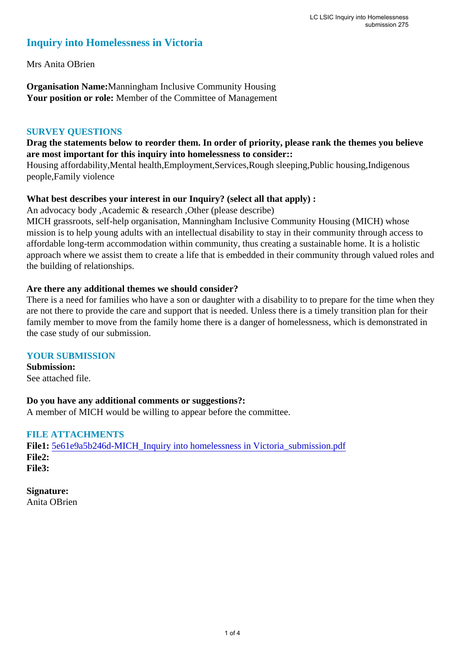### **Inquiry into Homelessness in Victoria**

Mrs Anita OBrien

**Organisation Name:**Manningham Inclusive Community Housing **Your position or role:** Member of the Committee of Management

### **SURVEY QUESTIONS**

### **Drag the statements below to reorder them. In order of priority, please rank the themes you believe are most important for this inquiry into homelessness to consider::**

Housing affordability,Mental health,Employment,Services,Rough sleeping,Public housing,Indigenous people,Family violence

### **What best describes your interest in our Inquiry? (select all that apply) :**

An advocacy body ,Academic & research ,Other (please describe)

MICH grassroots, self-help organisation, Manningham Inclusive Community Housing (MICH) whose mission is to help young adults with an intellectual disability to stay in their community through access to affordable long-term accommodation within community, thus creating a sustainable home. It is a holistic approach where we assist them to create a life that is embedded in their community through valued roles and the building of relationships.

#### **Are there any additional themes we should consider?**

There is a need for families who have a son or daughter with a disability to to prepare for the time when they are not there to provide the care and support that is needed. Unless there is a timely transition plan for their family member to move from the family home there is a danger of homelessness, which is demonstrated in the case study of our submission.

### **YOUR SUBMISSION**

**Submission:**  See attached file.

**Do you have any additional comments or suggestions?:**  A member of MICH would be willing to appear before the committee.

**FILE ATTACHMENTS** File1: [5e61e9a5b246d-MICH\\_Inquiry into homelessness in Victoria\\_submission.pdf](https://www.parliament.vic.gov.au/component/rsform/submission-view-file/5a8e76cd9f164a4f3ad67362327b9c39/c9f0b6372392af94cff5ddce4ceb572e?Itemid=222) **File2: File3:** 

**Signature:** Anita OBrien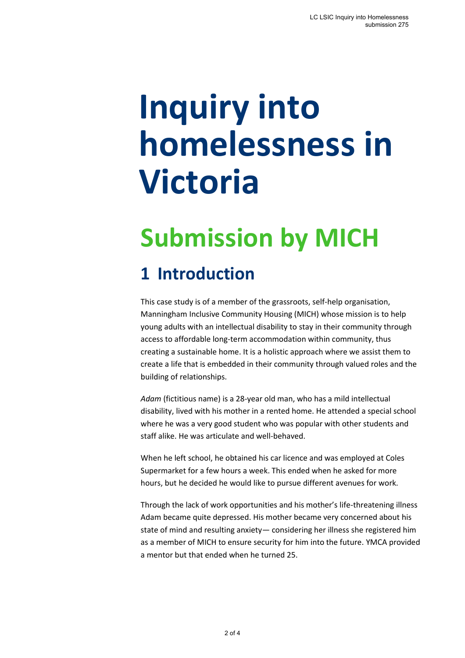# **Inquiry into homelessness in Victoria**

## **Submission by MICH**

## **1 Introduction**

This case study is of a member of the grassroots, self-help organisation, Manningham Inclusive Community Housing (MICH) whose mission is to help young adults with an intellectual disability to stay in their community through access to affordable long-term accommodation within community, thus creating a sustainable home. It is a holistic approach where we assist them to create a life that is embedded in their community through valued roles and the building of relationships.

*Adam* (fictitious name) is a 28-year old man, who has a mild intellectual disability, lived with his mother in a rented home. He attended a special school where he was a very good student who was popular with other students and staff alike. He was articulate and well-behaved.

When he left school, he obtained his car licence and was employed at Coles Supermarket for a few hours a week. This ended when he asked for more hours, but he decided he would like to pursue different avenues for work.

Through the lack of work opportunities and his mother's life-threatening illness Adam became quite depressed. His mother became very concerned about his state of mind and resulting anxiety— considering her illness she registered him as a member of MICH to ensure security for him into the future. YMCA provided a mentor but that ended when he turned 25.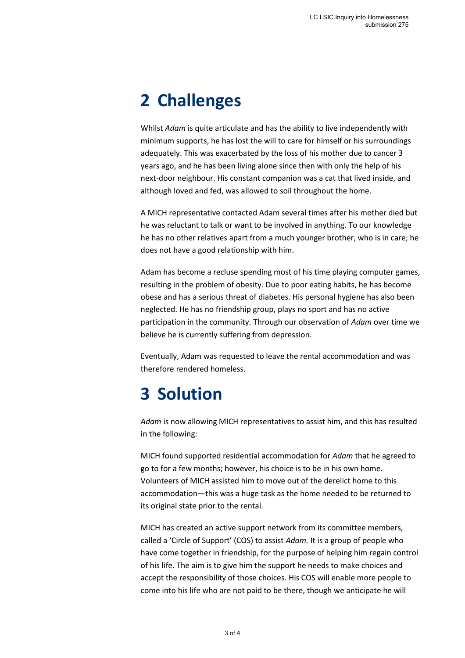## **2 Challenges**

Whilst *Adam* is quite articulate and has the ability to live independently with minimum supports, he has lost the will to care for himself or his surroundings adequately. This was exacerbated by the loss of his mother due to cancer 3 years ago, and he has been living alone since then with only the help of his next-door neighbour. His constant companion was a cat that lived inside, and although loved and fed, was allowed to soil throughout the home.

A MICH representative contacted Adam several times after his mother died but he was reluctant to talk or want to be involved in anything. To our knowledge he has no other relatives apart from a much younger brother, who is in care; he does not have a good relationship with him.

Adam has become a recluse spending most of his time playing computer games, resulting in the problem of obesity. Due to poor eating habits, he has become obese and has a serious threat of diabetes. His personal hygiene has also been neglected. He has no friendship group, plays no sport and has no active participation in the community. Through our observation of *Adam* over time we believe he is currently suffering from depression.

Eventually, Adam was requested to leave the rental accommodation and was therefore rendered homeless.

## **3 Solution**

*Adam* is now allowing MICH representatives to assist him, and this has resulted in the following:

MICH found supported residential accommodation for *Adam* that he agreed to go to for a few months; however, his choice is to be in his own home. Volunteers of MICH assisted him to move out of the derelict home to this accommodation—this was a huge task as the home needed to be returned to its original state prior to the rental.

MICH has created an active support network from its committee members, called a 'Circle of Support' (COS) to assist *Adam.* It is a group of people who have come together in friendship, for the purpose of helping him regain control of his life. The aim is to give him the support he needs to make choices and accept the responsibility of those choices. His COS will enable more people to come into his life who are not paid to be there, though we anticipate he will